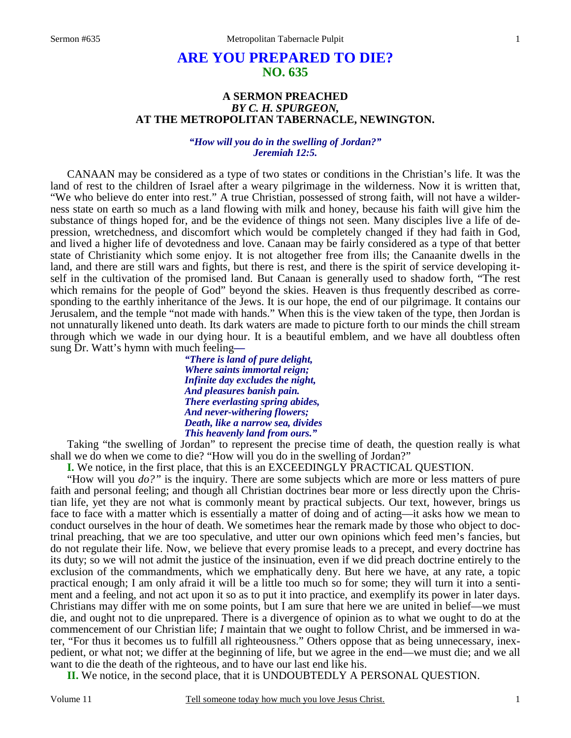# **ARE YOU PREPARED TO DIE? NO. 635**

# **A SERMON PREACHED**  *BY C. H. SPURGEON,*  **AT THE METROPOLITAN TABERNACLE, NEWINGTON.**

#### *"How will you do in the swelling of Jordan?" Jeremiah 12:5.*

CANAAN may be considered as a type of two states or conditions in the Christian's life. It was the land of rest to the children of Israel after a weary pilgrimage in the wilderness. Now it is written that, "We who believe do enter into rest." A true Christian, possessed of strong faith, will not have a wilderness state on earth so much as a land flowing with milk and honey, because his faith will give him the substance of things hoped for, and be the evidence of things not seen. Many disciples live a life of depression, wretchedness, and discomfort which would be completely changed if they had faith in God, and lived a higher life of devotedness and love. Canaan may be fairly considered as a type of that better state of Christianity which some enjoy. It is not altogether free from ills; the Canaanite dwells in the land, and there are still wars and fights, but there is rest, and there is the spirit of service developing itself in the cultivation of the promised land. But Canaan is generally used to shadow forth, "The rest which remains for the people of God" beyond the skies. Heaven is thus frequently described as corresponding to the earthly inheritance of the Jews. It is our hope, the end of our pilgrimage. It contains our Jerusalem, and the temple "not made with hands." When this is the view taken of the type, then Jordan is not unnaturally likened unto death. Its dark waters are made to picture forth to our minds the chill stream through which we wade in our dying hour. It is a beautiful emblem, and we have all doubtless often sung Dr. Watt's hymn with much feeling*—* 

*"There is land of pure delight, Where saints immortal reign; Infinite day excludes the night, And pleasures banish pain. There everlasting spring abides, And never-withering flowers; Death, like a narrow sea, divides This heavenly land from ours."* 

 Taking "the swelling of Jordan" to represent the precise time of death, the question really is what shall we do when we come to die? "How will you do in the swelling of Jordan?"

**I.** We notice, in the first place, that this is an EXCEEDINGLY PRACTICAL QUESTION.

 "How will you *do?"* is the inquiry. There are some subjects which are more or less matters of pure faith and personal feeling; and though all Christian doctrines bear more or less directly upon the Christian life, yet they are not what is commonly meant by practical subjects. Our text, however, brings us face to face with a matter which is essentially a matter of doing and of acting—it asks how we mean to conduct ourselves in the hour of death. We sometimes hear the remark made by those who object to doctrinal preaching, that we are too speculative, and utter our own opinions which feed men's fancies, but do not regulate their life. Now, we believe that every promise leads to a precept, and every doctrine has its duty; so we will not admit the justice of the insinuation, even if we did preach doctrine entirely to the exclusion of the commandments, which we emphatically deny. But here we have, at any rate, a topic practical enough; I am only afraid it will be a little too much so for some; they will turn it into a sentiment and a feeling, and not act upon it so as to put it into practice, and exemplify its power in later days. Christians may differ with me on some points, but I am sure that here we are united in belief—we must die, and ought not to die unprepared. There is a divergence of opinion as to what we ought to do at the commencement of our Christian life; *I* maintain that we ought to follow Christ, and be immersed in water, "For thus it becomes us to fulfill all righteousness." Others oppose that as being unnecessary, inexpedient, or what not; we differ at the beginning of life, but we agree in the end—we must die; and we all want to die the death of the righteous, and to have our last end like his.

**II.** We notice, in the second place, that it is UNDOUBTEDLY A PERSONAL QUESTION.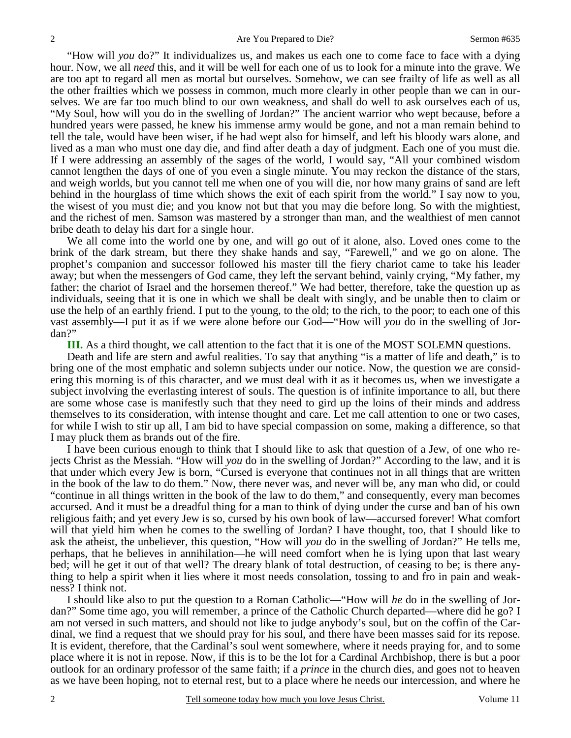"How will *you* do?" It individualizes us, and makes us each one to come face to face with a dying hour. Now, we all *need* this, and it will be well for each one of us to look for a minute into the grave. We are too apt to regard all men as mortal but ourselves. Somehow, we can see frailty of life as well as all the other frailties which we possess in common, much more clearly in other people than we can in ourselves. We are far too much blind to our own weakness, and shall do well to ask ourselves each of us, "My Soul, how will you do in the swelling of Jordan?" The ancient warrior who wept because, before a hundred years were passed, he knew his immense army would be gone, and not a man remain behind to tell the tale, would have been wiser, if he had wept also for himself, and left his bloody wars alone, and lived as a man who must one day die, and find after death a day of judgment. Each one of you must die. If I were addressing an assembly of the sages of the world, I would say, "All your combined wisdom cannot lengthen the days of one of you even a single minute. You may reckon the distance of the stars, and weigh worlds, but you cannot tell me when one of you will die, nor how many grains of sand are left behind in the hourglass of time which shows the exit of each spirit from the world." I say now to you, the wisest of you must die; and you know not but that you may die before long. So with the mightiest, and the richest of men. Samson was mastered by a stronger than man, and the wealthiest of men cannot bribe death to delay his dart for a single hour.

 We all come into the world one by one, and will go out of it alone, also. Loved ones come to the brink of the dark stream, but there they shake hands and say, "Farewell," and we go on alone. The prophet's companion and successor followed his master till the fiery chariot came to take his leader away; but when the messengers of God came, they left the servant behind, vainly crying, "My father, my father; the chariot of Israel and the horsemen thereof." We had better, therefore, take the question up as individuals, seeing that it is one in which we shall be dealt with singly, and be unable then to claim or use the help of an earthly friend. I put to the young, to the old; to the rich, to the poor; to each one of this vast assembly—I put it as if we were alone before our God—"How will *you* do in the swelling of Jordan?"

**III.** As a third thought, we call attention to the fact that it is one of the MOST SOLEMN questions.

 Death and life are stern and awful realities. To say that anything "is a matter of life and death," is to bring one of the most emphatic and solemn subjects under our notice. Now, the question we are considering this morning is of this character, and we must deal with it as it becomes us, when we investigate a subject involving the everlasting interest of souls. The question is of infinite importance to all, but there are some whose case is manifestly such that they need to gird up the loins of their minds and address themselves to its consideration, with intense thought and care. Let me call attention to one or two cases, for while I wish to stir up all, I am bid to have special compassion on some, making a difference, so that I may pluck them as brands out of the fire.

 I have been curious enough to think that I should like to ask that question of a Jew, of one who rejects Christ as the Messiah. "How will *you* do in the swelling of Jordan?" According to the law, and it is that under which every Jew is born, "Cursed is everyone that continues not in all things that are written in the book of the law to do them." Now, there never was, and never will be, any man who did, or could "continue in all things written in the book of the law to do them," and consequently, every man becomes accursed. And it must be a dreadful thing for a man to think of dying under the curse and ban of his own religious faith; and yet every Jew is so, cursed by his own book of law—accursed forever! What comfort will that yield him when he comes to the swelling of Jordan? I have thought, too, that I should like to ask the atheist, the unbeliever, this question, "How will *you* do in the swelling of Jordan?" He tells me, perhaps, that he believes in annihilation—he will need comfort when he is lying upon that last weary bed; will he get it out of that well? The dreary blank of total destruction, of ceasing to be; is there anything to help a spirit when it lies where it most needs consolation, tossing to and fro in pain and weakness? I think not.

 I should like also to put the question to a Roman Catholic—"How will *he* do in the swelling of Jordan?" Some time ago, you will remember, a prince of the Catholic Church departed—where did he go? I am not versed in such matters, and should not like to judge anybody's soul, but on the coffin of the Cardinal, we find a request that we should pray for his soul, and there have been masses said for its repose. It is evident, therefore, that the Cardinal's soul went somewhere, where it needs praying for, and to some place where it is not in repose. Now, if this is to be the lot for a Cardinal Archbishop, there is but a poor outlook for an ordinary professor of the same faith; if a *prince* in the church dies, and goes not to heaven as we have been hoping, not to eternal rest, but to a place where he needs our intercession, and where he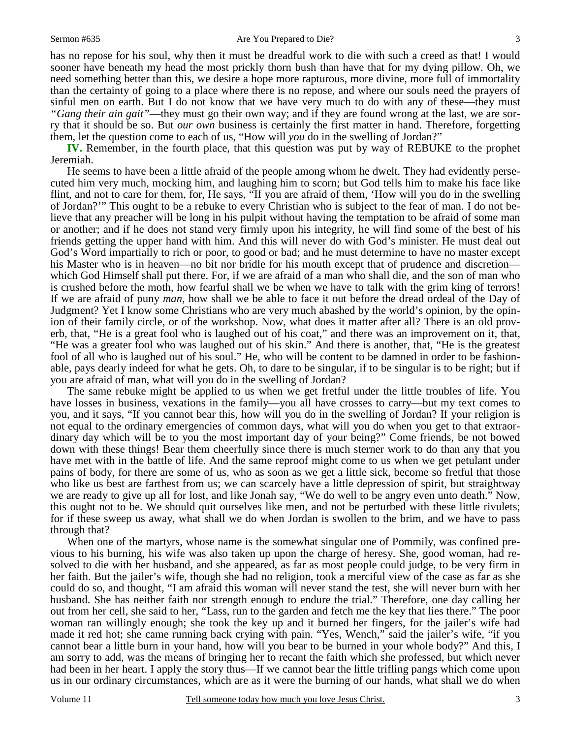#### Sermon #635 Are You Prepared to Die?

has no repose for his soul, why then it must be dreadful work to die with such a creed as that! I would sooner have beneath my head the most prickly thorn bush than have that for my dying pillow. Oh, we need something better than this, we desire a hope more rapturous, more divine, more full of immortality than the certainty of going to a place where there is no repose, and where our souls need the prayers of sinful men on earth. But I do not know that we have very much to do with any of these—they must *"Gang their ain gait"*—they must go their own way; and if they are found wrong at the last, we are sorry that it should be so. But *our own* business is certainly the first matter in hand. Therefore, forgetting them, let the question come to each of us, "How will *you* do in the swelling of Jordan?"

**IV.** Remember, in the fourth place, that this question was put by way of REBUKE to the prophet Jeremiah.

 He seems to have been a little afraid of the people among whom he dwelt. They had evidently persecuted him very much, mocking him, and laughing him to scorn; but God tells him to make his face like flint, and not to care for them, for, He says, "If you are afraid of them, 'How will you do in the swelling of Jordan?'" This ought to be a rebuke to every Christian who is subject to the fear of man. I do not believe that any preacher will be long in his pulpit without having the temptation to be afraid of some man or another; and if he does not stand very firmly upon his integrity, he will find some of the best of his friends getting the upper hand with him. And this will never do with God's minister. He must deal out God's Word impartially to rich or poor, to good or bad; and he must determine to have no master except his Master who is in heaven—no bit nor bridle for his mouth except that of prudence and discretion which God Himself shall put there. For, if we are afraid of a man who shall die, and the son of man who is crushed before the moth, how fearful shall we be when we have to talk with the grim king of terrors! If we are afraid of puny *man,* how shall we be able to face it out before the dread ordeal of the Day of Judgment? Yet I know some Christians who are very much abashed by the world's opinion, by the opinion of their family circle, or of the workshop. Now, what does it matter after all? There is an old proverb, that, "He is a great fool who is laughed out of his coat," and there was an improvement on it, that, "He was a greater fool who was laughed out of his skin." And there is another, that, "He is the greatest fool of all who is laughed out of his soul." He, who will be content to be damned in order to be fashionable, pays dearly indeed for what he gets. Oh, to dare to be singular, if to be singular is to be right; but if you are afraid of man, what will you do in the swelling of Jordan?

 The same rebuke might be applied to us when we get fretful under the little troubles of life. You have losses in business, vexations in the family—you all have crosses to carry—but my text comes to you, and it says, "If you cannot bear this, how will you do in the swelling of Jordan? If your religion is not equal to the ordinary emergencies of common days, what will you do when you get to that extraordinary day which will be to you the most important day of your being?" Come friends, be not bowed down with these things! Bear them cheerfully since there is much sterner work to do than any that you have met with in the battle of life. And the same reproof might come to us when we get petulant under pains of body, for there are some of us, who as soon as we get a little sick, become so fretful that those who like us best are farthest from us; we can scarcely have a little depression of spirit, but straightway we are ready to give up all for lost, and like Jonah say, "We do well to be angry even unto death." Now, this ought not to be. We should quit ourselves like men, and not be perturbed with these little rivulets; for if these sweep us away, what shall we do when Jordan is swollen to the brim, and we have to pass through that?

 When one of the martyrs, whose name is the somewhat singular one of Pommily, was confined previous to his burning, his wife was also taken up upon the charge of heresy. She, good woman, had resolved to die with her husband, and she appeared, as far as most people could judge, to be very firm in her faith. But the jailer's wife, though she had no religion, took a merciful view of the case as far as she could do so, and thought, "I am afraid this woman will never stand the test, she will never burn with her husband. She has neither faith nor strength enough to endure the trial." Therefore, one day calling her out from her cell, she said to her, "Lass, run to the garden and fetch me the key that lies there." The poor woman ran willingly enough; she took the key up and it burned her fingers, for the jailer's wife had made it red hot; she came running back crying with pain. "Yes, Wench," said the jailer's wife, "if you cannot bear a little burn in your hand, how will you bear to be burned in your whole body?" And this, I am sorry to add, was the means of bringing her to recant the faith which she professed, but which never had been in her heart. I apply the story thus—If we cannot bear the little trifling pangs which come upon us in our ordinary circumstances, which are as it were the burning of our hands, what shall we do when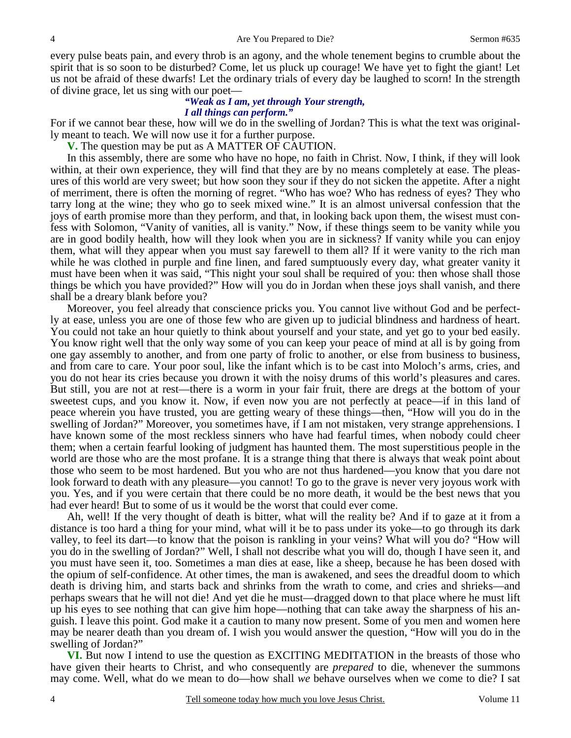every pulse beats pain, and every throb is an agony, and the whole tenement begins to crumble about the spirit that is so soon to be disturbed? Come, let us pluck up courage! We have yet to fight the giant! Let us not be afraid of these dwarfs! Let the ordinary trials of every day be laughed to scorn! In the strength of divine grace, let us sing with our poet—

### *"Weak as I am, yet through Your strength, I all things can perform."*

For if we cannot bear these, how will we do in the swelling of Jordan? This is what the text was originally meant to teach. We will now use it for a further purpose.

**V.** The question may be put as A MATTER OF CAUTION.

 In this assembly, there are some who have no hope, no faith in Christ. Now, I think, if they will look within, at their own experience, they will find that they are by no means completely at ease. The pleasures of this world are very sweet; but how soon they sour if they do not sicken the appetite. After a night of merriment, there is often the morning of regret. "Who has woe? Who has redness of eyes? They who tarry long at the wine; they who go to seek mixed wine." It is an almost universal confession that the joys of earth promise more than they perform, and that, in looking back upon them, the wisest must confess with Solomon, "Vanity of vanities, all is vanity." Now, if these things seem to be vanity while you are in good bodily health, how will they look when you are in sickness? If vanity while you can enjoy them, what will they appear when you must say farewell to them all? If it were vanity to the rich man while he was clothed in purple and fine linen, and fared sumptuously every day, what greater vanity it must have been when it was said, "This night your soul shall be required of you: then whose shall those things be which you have provided?" How will you do in Jordan when these joys shall vanish, and there shall be a dreary blank before you?

 Moreover, you feel already that conscience pricks you. You cannot live without God and be perfectly at ease, unless you are one of those few who are given up to judicial blindness and hardness of heart. You could not take an hour quietly to think about yourself and your state, and yet go to your bed easily. You know right well that the only way some of you can keep your peace of mind at all is by going from one gay assembly to another, and from one party of frolic to another, or else from business to business, and from care to care. Your poor soul, like the infant which is to be cast into Moloch's arms, cries, and you do not hear its cries because you drown it with the noisy drums of this world's pleasures and cares. But still, you are not at rest—there is a worm in your fair fruit, there are dregs at the bottom of your sweetest cups, and you know it. Now, if even now you are not perfectly at peace—if in this land of peace wherein you have trusted, you are getting weary of these things—then, "How will you do in the swelling of Jordan?" Moreover, you sometimes have, if I am not mistaken, very strange apprehensions. I have known some of the most reckless sinners who have had fearful times, when nobody could cheer them; when a certain fearful looking of judgment has haunted them. The most superstitious people in the world are those who are the most profane. It is a strange thing that there is always that weak point about those who seem to be most hardened. But you who are not thus hardened—you know that you dare not look forward to death with any pleasure—you cannot! To go to the grave is never very joyous work with you. Yes, and if you were certain that there could be no more death, it would be the best news that you had ever heard! But to some of us it would be the worst that could ever come.

 Ah, well! If the very thought of death is bitter, what will the reality be? And if to gaze at it from a distance is too hard a thing for your mind, what will it be to pass under its yoke—to go through its dark valley, to feel its dart—to know that the poison is rankling in your veins? What will you do? "How will you do in the swelling of Jordan?" Well, I shall not describe what you will do, though I have seen it, and you must have seen it, too. Sometimes a man dies at ease, like a sheep, because he has been dosed with the opium of self-confidence. At other times, the man is awakened, and sees the dreadful doom to which death is driving him, and starts back and shrinks from the wrath to come, and cries and shrieks—and perhaps swears that he will not die! And yet die he must—dragged down to that place where he must lift up his eyes to see nothing that can give him hope—nothing that can take away the sharpness of his anguish. I leave this point. God make it a caution to many now present. Some of you men and women here may be nearer death than you dream of. I wish you would answer the question, "How will you do in the swelling of Jordan?"

**VI.** But now I intend to use the question as EXCITING MEDITATION in the breasts of those who have given their hearts to Christ, and who consequently are *prepared* to die, whenever the summons may come. Well, what do we mean to do—how shall *we* behave ourselves when we come to die? I sat

4

4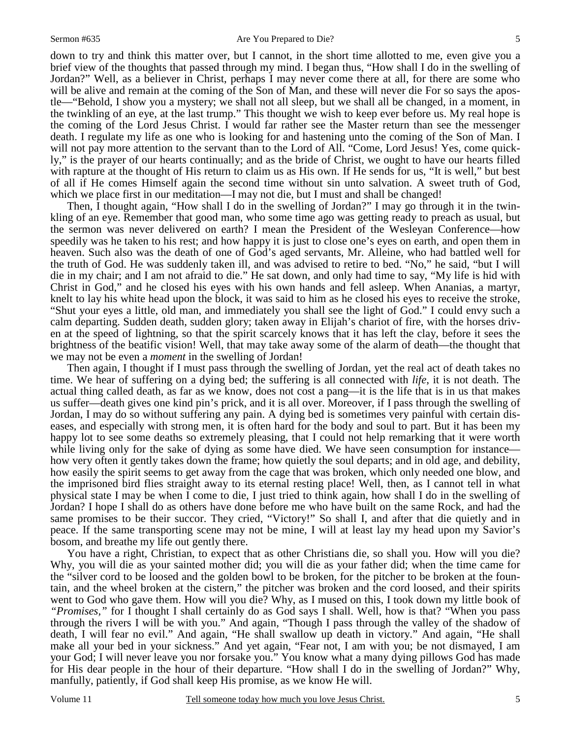down to try and think this matter over, but I cannot, in the short time allotted to me, even give you a brief view of the thoughts that passed through my mind. I began thus, "How shall I do in the swelling of Jordan?" Well, as a believer in Christ, perhaps I may never come there at all, for there are some who will be alive and remain at the coming of the Son of Man, and these will never die For so says the apostle—"Behold, I show you a mystery; we shall not all sleep, but we shall all be changed, in a moment, in the twinkling of an eye, at the last trump." This thought we wish to keep ever before us. My real hope is the coming of the Lord Jesus Christ. I would far rather see the Master return than see the messenger death. I regulate my life as one who is looking for and hastening unto the coming of the Son of Man. I will not pay more attention to the servant than to the Lord of All. "Come, Lord Jesus! Yes, come quickly," is the prayer of our hearts continually; and as the bride of Christ, we ought to have our hearts filled with rapture at the thought of His return to claim us as His own. If He sends for us, "It is well," but best of all if He comes Himself again the second time without sin unto salvation. A sweet truth of God, which we place first in our meditation—I may not die, but I must and shall be changed!

 Then, I thought again, "How shall I do in the swelling of Jordan?" I may go through it in the twinkling of an eye. Remember that good man, who some time ago was getting ready to preach as usual, but the sermon was never delivered on earth? I mean the President of the Wesleyan Conference—how speedily was he taken to his rest; and how happy it is just to close one's eyes on earth, and open them in heaven. Such also was the death of one of God's aged servants, Mr. Alleine, who had battled well for the truth of God. He was suddenly taken ill, and was advised to retire to bed. "No," he said, "but I will die in my chair; and I am not afraid to die." He sat down, and only had time to say, "My life is hid with Christ in God," and he closed his eyes with his own hands and fell asleep. When Ananias, a martyr, knelt to lay his white head upon the block, it was said to him as he closed his eyes to receive the stroke, "Shut your eyes a little, old man, and immediately you shall see the light of God." I could envy such a calm departing. Sudden death, sudden glory; taken away in Elijah's chariot of fire, with the horses driven at the speed of lightning, so that the spirit scarcely knows that it has left the clay, before it sees the brightness of the beatific vision! Well, that may take away some of the alarm of death—the thought that we may not be even a *moment* in the swelling of Jordan!

 Then again, I thought if I must pass through the swelling of Jordan, yet the real act of death takes no time. We hear of suffering on a dying bed; the suffering is all connected with *life*, it is not death. The actual thing called death, as far as we know, does not cost a pang—it is the life that is in us that makes us suffer—death gives one kind pin's prick, and it is all over. Moreover, if I pass through the swelling of Jordan, I may do so without suffering any pain. A dying bed is sometimes very painful with certain diseases, and especially with strong men, it is often hard for the body and soul to part. But it has been my happy lot to see some deaths so extremely pleasing, that I could not help remarking that it were worth while living only for the sake of dying as some have died. We have seen consumption for instance how very often it gently takes down the frame; how quietly the soul departs; and in old age, and debility, how easily the spirit seems to get away from the cage that was broken, which only needed one blow, and the imprisoned bird flies straight away to its eternal resting place! Well, then, as I cannot tell in what physical state I may be when I come to die, I just tried to think again, how shall I do in the swelling of Jordan? I hope I shall do as others have done before me who have built on the same Rock, and had the same promises to be their succor. They cried, "Victory!" So shall I, and after that die quietly and in peace. If the same transporting scene may not be mine, I will at least lay my head upon my Savior's bosom, and breathe my life out gently there.

 You have a right, Christian, to expect that as other Christians die, so shall you. How will you die? Why, you will die as your sainted mother did; you will die as your father did; when the time came for the "silver cord to be loosed and the golden bowl to be broken, for the pitcher to be broken at the fountain, and the wheel broken at the cistern," the pitcher was broken and the cord loosed, and their spirits went to God who gave them. How will you die? Why, as I mused on this, I took down my little book of *"Promises,"* for I thought I shall certainly do as God says I shall. Well, how is that? "When you pass through the rivers I will be with you." And again, "Though I pass through the valley of the shadow of death, I will fear no evil." And again, "He shall swallow up death in victory." And again, "He shall make all your bed in your sickness." And yet again, "Fear not, I am with you; be not dismayed, I am your God; I will never leave you nor forsake you." You know what a many dying pillows God has made for His dear people in the hour of their departure. "How shall I do in the swelling of Jordan?" Why, manfully, patiently, if God shall keep His promise, as we know He will.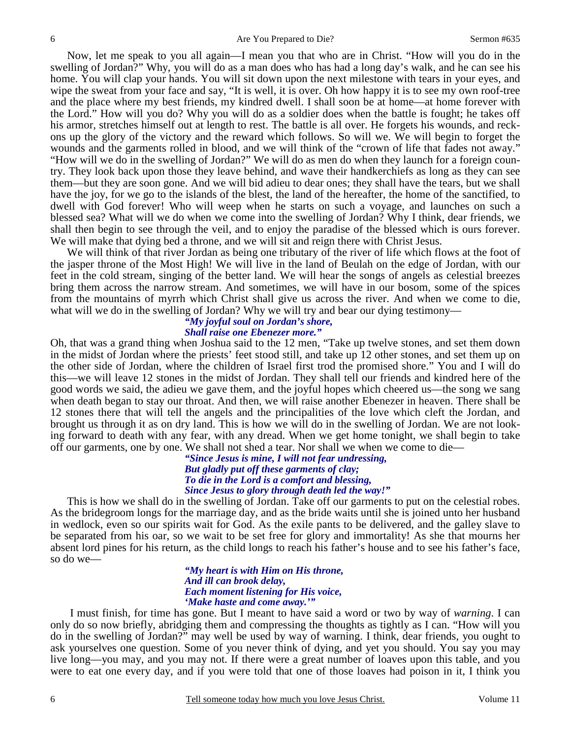Now, let me speak to you all again—I mean you that who are in Christ. "How will you do in the swelling of Jordan?" Why, you will do as a man does who has had a long day's walk, and he can see his home. You will clap your hands. You will sit down upon the next milestone with tears in your eyes, and wipe the sweat from your face and say, "It is well, it is over. Oh how happy it is to see my own roof-tree and the place where my best friends, my kindred dwell. I shall soon be at home—at home forever with the Lord." How will you do? Why you will do as a soldier does when the battle is fought; he takes off his armor, stretches himself out at length to rest. The battle is all over. He forgets his wounds, and reckons up the glory of the victory and the reward which follows. So will we. We will begin to forget the wounds and the garments rolled in blood, and we will think of the "crown of life that fades not away." "How will we do in the swelling of Jordan?" We will do as men do when they launch for a foreign country. They look back upon those they leave behind, and wave their handkerchiefs as long as they can see them—but they are soon gone. And we will bid adieu to dear ones; they shall have the tears, but we shall have the joy, for we go to the islands of the blest, the land of the hereafter, the home of the sanctified, to dwell with God forever! Who will weep when he starts on such a voyage, and launches on such a blessed sea? What will we do when we come into the swelling of Jordan? Why I think, dear friends, we shall then begin to see through the veil, and to enjoy the paradise of the blessed which is ours forever. We will make that dying bed a throne, and we will sit and reign there with Christ Jesus.

 We will think of that river Jordan as being one tributary of the river of life which flows at the foot of the jasper throne of the Most High! We will live in the land of Beulah on the edge of Jordan, with our feet in the cold stream, singing of the better land. We will hear the songs of angels as celestial breezes bring them across the narrow stream. And sometimes, we will have in our bosom, some of the spices from the mountains of myrrh which Christ shall give us across the river. And when we come to die, what will we do in the swelling of Jordan? Why we will try and bear our dying testimony—

#### *"My joyful soul on Jordan's shore, Shall raise one Ebenezer more."*

Oh, that was a grand thing when Joshua said to the 12 men, "Take up twelve stones, and set them down in the midst of Jordan where the priests' feet stood still, and take up 12 other stones, and set them up on the other side of Jordan, where the children of Israel first trod the promised shore." You and I will do this—we will leave 12 stones in the midst of Jordan. They shall tell our friends and kindred here of the good words we said, the adieu we gave them, and the joyful hopes which cheered us—the song we sang when death began to stay our throat. And then, we will raise another Ebenezer in heaven. There shall be 12 stones there that will tell the angels and the principalities of the love which cleft the Jordan, and brought us through it as on dry land. This is how we will do in the swelling of Jordan. We are not looking forward to death with any fear, with any dread. When we get home tonight, we shall begin to take off our garments, one by one. We shall not shed a tear. Nor shall we when we come to die—

> *"Since Jesus is mine, I will not fear undressing, But gladly put off these garments of clay; To die in the Lord is a comfort and blessing, Since Jesus to glory through death led the way!"*

This is how we shall do in the swelling of Jordan. Take off our garments to put on the celestial robes. As the bridegroom longs for the marriage day, and as the bride waits until she is joined unto her husband in wedlock, even so our spirits wait for God. As the exile pants to be delivered, and the galley slave to be separated from his oar, so we wait to be set free for glory and immortality! As she that mourns her absent lord pines for his return, as the child longs to reach his father's house and to see his father's face, so do we—

#### *"My heart is with Him on His throne, And ill can brook delay, Each moment listening for His voice, 'Make haste and come away.'"*

I must finish, for time has gone. But I meant to have said a word or two by way of *warning*. I can only do so now briefly, abridging them and compressing the thoughts as tightly as I can. "How will you do in the swelling of Jordan?" may well be used by way of warning. I think, dear friends, you ought to ask yourselves one question. Some of you never think of dying, and yet you should. You say you may live long—you may, and you may not. If there were a great number of loaves upon this table, and you were to eat one every day, and if you were told that one of those loaves had poison in it, I think you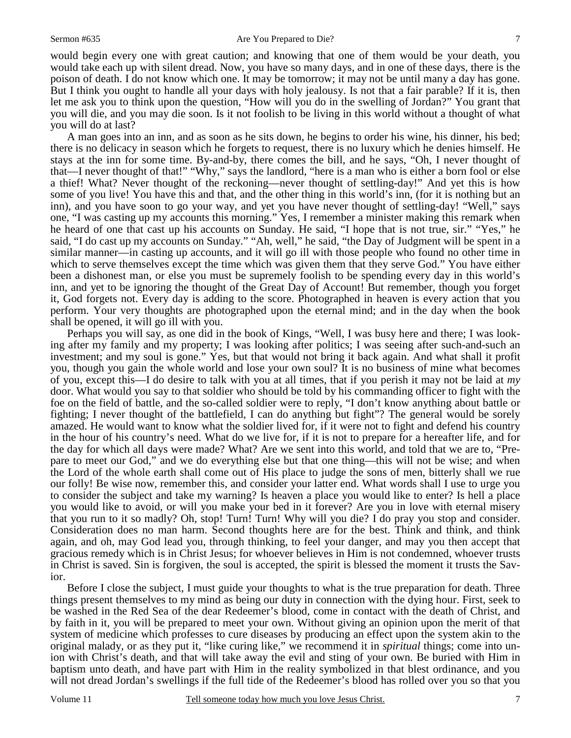would begin every one with great caution; and knowing that one of them would be your death, you would take each up with silent dread. Now, you have so many days, and in one of these days, there is the poison of death. I do not know which one. It may be tomorrow; it may not be until many a day has gone. But I think you ought to handle all your days with holy jealousy. Is not that a fair parable? If it is, then let me ask you to think upon the question, "How will you do in the swelling of Jordan?" You grant that you will die, and you may die soon. Is it not foolish to be living in this world without a thought of what you will do at last?

 A man goes into an inn, and as soon as he sits down, he begins to order his wine, his dinner, his bed; there is no delicacy in season which he forgets to request, there is no luxury which he denies himself. He stays at the inn for some time. By-and-by, there comes the bill, and he says, "Oh, I never thought of that—I never thought of that!" "Why," says the landlord, "here is a man who is either a born fool or else a thief! What? Never thought of the reckoning—never thought of settling-day!" And yet this is how some of you live! You have this and that, and the other thing in this world's inn, (for it is nothing but an inn), and you have soon to go your way, and yet you have never thought of settling-day! "Well," says one, "I was casting up my accounts this morning." Yes, I remember a minister making this remark when he heard of one that cast up his accounts on Sunday. He said, "I hope that is not true, sir." "Yes," he said, "I do cast up my accounts on Sunday." "Ah, well," he said, "the Day of Judgment will be spent in a similar manner—in casting up accounts, and it will go ill with those people who found no other time in which to serve themselves except the time which was given them that they serve God." You have either been a dishonest man, or else you must be supremely foolish to be spending every day in this world's inn, and yet to be ignoring the thought of the Great Day of Account! But remember, though you forget it, God forgets not. Every day is adding to the score. Photographed in heaven is every action that you perform. Your very thoughts are photographed upon the eternal mind; and in the day when the book shall be opened, it will go ill with you.

 Perhaps you will say, as one did in the book of Kings, "Well, I was busy here and there; I was looking after my family and my property; I was looking after politics; I was seeing after such-and-such an investment; and my soul is gone." Yes, but that would not bring it back again. And what shall it profit you, though you gain the whole world and lose your own soul? It is no business of mine what becomes of you, except this—I do desire to talk with you at all times, that if you perish it may not be laid at *my* door. What would you say to that soldier who should be told by his commanding officer to fight with the foe on the field of battle, and the so-called soldier were to reply, "I don't know anything about battle or fighting; I never thought of the battlefield, I can do anything but fight"? The general would be sorely amazed. He would want to know what the soldier lived for, if it were not to fight and defend his country in the hour of his country's need. What do we live for, if it is not to prepare for a hereafter life, and for the day for which all days were made? What? Are we sent into this world, and told that we are to, "Prepare to meet our God," and we do everything else but that one thing—this will not be wise; and when the Lord of the whole earth shall come out of His place to judge the sons of men, bitterly shall we rue our folly! Be wise now, remember this, and consider your latter end. What words shall I use to urge you to consider the subject and take my warning? Is heaven a place you would like to enter? Is hell a place you would like to avoid, or will you make your bed in it forever? Are you in love with eternal misery that you run to it so madly? Oh, stop! Turn! Turn! Why will you die? I do pray you stop and consider. Consideration does no man harm. Second thoughts here are for the best. Think and think, and think again, and oh, may God lead you, through thinking, to feel your danger, and may you then accept that gracious remedy which is in Christ Jesus; for whoever believes in Him is not condemned, whoever trusts in Christ is saved. Sin is forgiven, the soul is accepted, the spirit is blessed the moment it trusts the Savior.

 Before I close the subject, I must guide your thoughts to what is the true preparation for death. Three things present themselves to my mind as being our duty in connection with the dying hour. First, seek to be washed in the Red Sea of the dear Redeemer's blood, come in contact with the death of Christ, and by faith in it, you will be prepared to meet your own. Without giving an opinion upon the merit of that system of medicine which professes to cure diseases by producing an effect upon the system akin to the original malady, or as they put it, "like curing like," we recommend it in *spiritual* things; come into union with Christ's death, and that will take away the evil and sting of your own. Be buried with Him in baptism unto death, and have part with Him in the reality symbolized in that blest ordinance, and you will not dread Jordan's swellings if the full tide of the Redeemer's blood has rolled over you so that you